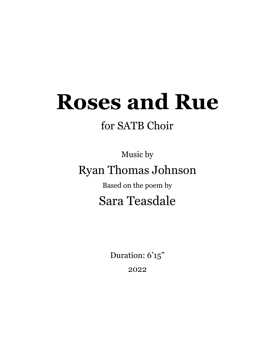## Roses and Rue

## for SATB Choir

Music by Ryan Thomas Johnson

Based on the poem by

Sara Teasdale

Duration: 6'15" 2022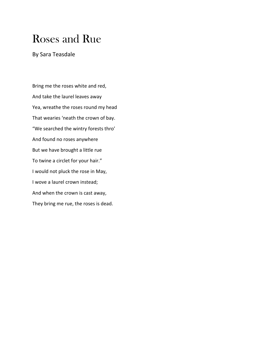## Roses and Rue

By Sara Teasdale

Bring me the roses white and red, And take the laurel leaves away Yea, wreathe the roses round my head That wearies 'neath the crown of bay. "We searched the wintry forests thro' And found no roses anywhere But we have brought a little rue To twine a circlet for your hair." I would not pluck the rose in May, I wove a laurel crown instead; And when the crown is cast away, They bring me rue, the roses is dead.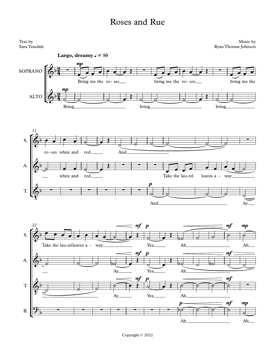## Roses and Rue

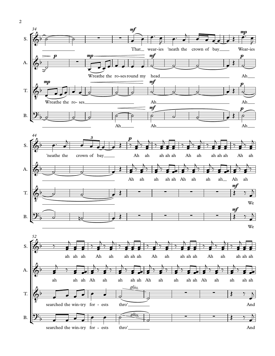

 $\overline{2}$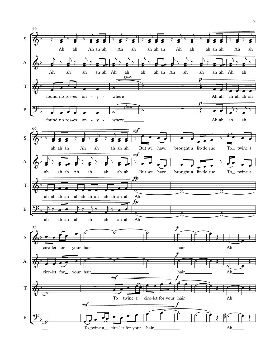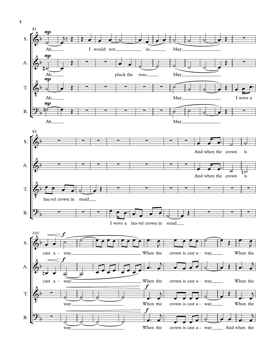

 $\overline{4}$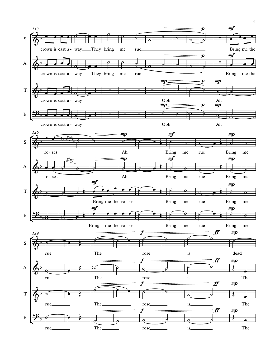